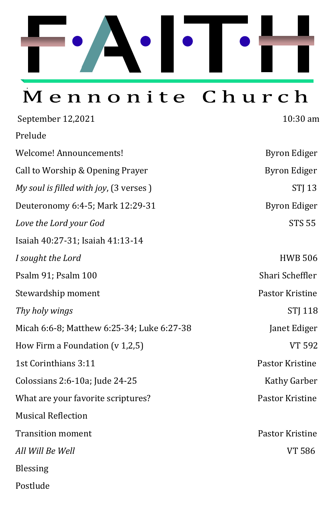

# Mennonite Church

| September 12,2021                          | 10:30 am            |
|--------------------------------------------|---------------------|
| Prelude                                    |                     |
| Welcome! Announcements!                    | <b>Byron Ediger</b> |
| Call to Worship & Opening Prayer           | <b>Byron Ediger</b> |
| My soul is filled with joy, (3 verses)     | <b>STJ 13</b>       |
| Deuteronomy 6:4-5; Mark 12:29-31           | <b>Byron Ediger</b> |
| Love the Lord your God                     | <b>STS 55</b>       |
| Isaiah 40:27-31; Isaiah 41:13-14           |                     |
| I sought the Lord                          | <b>HWB 506</b>      |
| Psalm 91; Psalm 100                        | Shari Scheffler     |
| Stewardship moment                         | Pastor Kristine     |
| Thy holy wings                             | <b>STJ 118</b>      |
| Micah 6:6-8; Matthew 6:25-34; Luke 6:27-38 | Janet Ediger        |
| How Firm a Foundation (v 1,2,5)            | <b>VT 592</b>       |
| 1st Corinthians 3:11                       | Pastor Kristine     |
| Colossians 2:6-10a; Jude 24-25             | Kathy Garber        |
| What are your favorite scriptures?         | Pastor Kristine     |
| <b>Musical Reflection</b>                  |                     |
| <b>Transition moment</b>                   | Pastor Kristine     |
| All Will Be Well                           | <b>VT 586</b>       |
| <b>Blessing</b>                            |                     |
| Postlude                                   |                     |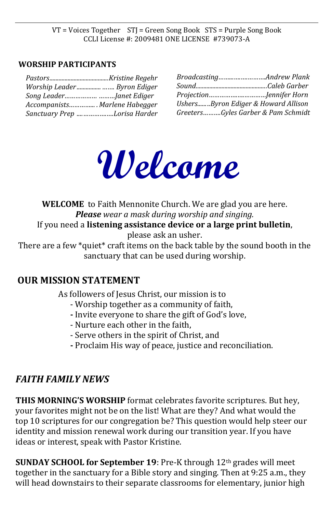VT = Voices Together STJ = Green Song Book STS = Purple Song Book CCLI License #: 2009481 ONE LICENSE #739073-A

#### **WORSHIP PARTICIPANTS**

| Worship Leader Byron Ediger       |
|-----------------------------------|
|                                   |
| Accompanists Marlene Habegger     |
| Sanctuary Prep      Lorisa Harder |

| UshersByron Ediger & Howard Allison |  |
|-------------------------------------|--|
| GreetersGyles Garber & Pam Schmidt  |  |



**WELCOME** to Faith Mennonite Church. We are glad you are here. *Please wear a mask during worship and singing.* If you need a **listening assistance device or a large print bulletin**, please ask an usher. There are a few \*quiet\* craft items on the back table by the sound booth in the

sanctuary that can be used during worship.

### **OUR MISSION STATEMENT**

As followers of Jesus Christ, our mission is to

- Worship together as a community of faith,
- **-** Invite everyone to share the gift of God's love,
- Nurture each other in the faith,
- Serve others in the spirit of Christ, and
- **-** Proclaim His way of peace, justice and reconciliation.

## *FAITH FAMILY NEWS*

**THIS MORNING'S WORSHIP** format celebrates favorite scriptures. But hey, your favorites might not be on the list! What are they? And what would the top 10 scriptures for our congregation be? This question would help steer our identity and mission renewal work during our transition year. If you have ideas or interest, speak with Pastor Kristine.

**SUNDAY SCHOOL for September 19**: Pre-K through 12th grades will meet together in the sanctuary for a Bible story and singing. Then at 9:25 a.m., they will head downstairs to their separate classrooms for elementary, junior high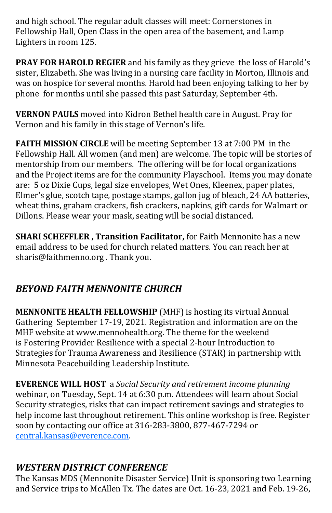and high school. The regular adult classes will meet: Cornerstones in Fellowship Hall, Open Class in the open area of the basement, and Lamp Lighters in room 125.

**PRAY FOR HAROLD REGIER** and his family as they grieve the loss of Harold's sister, Elizabeth. She was living in a nursing care facility in Morton, Illinois and was on hospice for several months. Harold had been enjoying talking to her by phone for months until she passed this past Saturday, September 4th.

**VERNON PAULS** moved into Kidron Bethel health care in August. Pray for Vernon and his family in this stage of Vernon's life.

**FAITH MISSION CIRCLE** will be meeting September 13 at 7:00 PM in the Fellowship Hall. All women (and men) are welcome. The topic will be stories of mentorship from our members. The offering will be for local organizations and the Project items are for the community Playschool. Items you may donate are: 5 oz Dixie Cups, legal size envelopes, Wet Ones, Kleenex, paper plates, Elmer's glue, scotch tape, postage stamps, gallon jug of bleach, 24 AA batteries, wheat thins, graham crackers, fish crackers, napkins, gift cards for Walmart or Dillons. Please wear your mask, seating will be social distanced.

**SHARI SCHEFFLER , Transition Facilitator,** for Faith Mennonite has a new email address to be used for church related matters. You can reach her at sharis@faithmenno.org . Thank you.

# *BEYOND FAITH MENNONITE CHURCH*

**MENNONITE HEALTH FELLOWSHIP** (MHF) is hosting its virtual Annual Gathering September 17-19, 2021. Registration and information are on the MHF website at [www.mennohealth.org.](http://www.mennohealth.org/) The theme for the weekend is Fostering Provider Resilience with a special 2-hour Introduction to Strategies for Trauma Awareness and Resilience (STAR) in partnership with Minnesota Peacebuilding Leadership Institute.

**EVERENCE WILL HOST** a *Social Security and retirement income planning* webinar, on Tuesday, Sept. 14 at 6:30 p.m. Attendees will learn about Social Security strategies, risks that can impact retirement savings and strategies to help income last throughout retirement. This online workshop is free. Register soon by contacting our office at 316-283-3800, 877-467-7294 or [central.kansas@everence.com.](mailto:central.kansas@everence.com)

# *WESTERN DISTRICT CONFERENCE*

The Kansas MDS (Mennonite Disaster Service) Unit is sponsoring two Learning and Service trips to McAllen Tx. The dates are Oct. 16-23, 2021 and Feb. 19-26,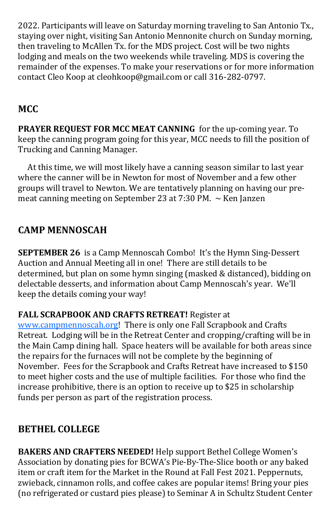2022. Participants will leave on Saturday morning traveling to San Antonio Tx., staying over night, visiting San Antonio Mennonite church on Sunday morning, then traveling to McAllen Tx. for the MDS project. Cost will be two nights lodging and meals on the two weekends while traveling. MDS is covering the remainder of the expenses. To make your reservations or for more information contact Cleo Koop at cleohkoop@gmail.com or call 316-282-0797.

# **MCC**

**PRAYER REQUEST FOR MCC MEAT CANNING** for the up-coming year. To keep the canning program going for this year, MCC needs to fill the position of Trucking and Canning Manager.

 At this time, we will most likely have a canning season similar to last year where the canner will be in Newton for most of November and a few other groups will travel to Newton. We are tentatively planning on having our premeat canning meeting on September 23 at 7:30 PM.  $\sim$  Ken Janzen

# **CAMP MENNOSCAH**

**SEPTEMBER 26** is a Camp Mennoscah Combo! It's the Hymn Sing-Dessert Auction and Annual Meeting all in one! There are still details to be determined, but plan on some hymn singing (masked & distanced), bidding on delectable desserts, and information about Camp Mennoscah's year. We'll keep the details coming your way!

### **FALL SCRAPBOOK AND CRAFTS RETREAT!** Register at

[www.campmennoscah.org!](http://www.campmennoscah.org/) There is only one Fall Scrapbook and Crafts Retreat. Lodging will be in the Retreat Center and cropping/crafting will be in the Main Camp dining hall. Space heaters will be available for both areas since the repairs for the furnaces will not be complete by the beginning of November. Fees for the Scrapbook and Crafts Retreat have increased to \$150 to meet higher costs and the use of multiple facilities. For those who find the increase prohibitive, there is an option to receive up to \$25 in scholarship funds per person as part of the registration process.

# **BETHEL COLLEGE**

**BAKERS AND CRAFTERS NEEDED!** Help support Bethel College Women's Association by donating pies for BCWA's Pie-By-The-Slice booth or any baked item or craft item for the Market in the Round at Fall Fest 2021. Peppernuts, zwieback, cinnamon rolls, and coffee cakes are popular items! Bring your pies (no refrigerated or custard pies please) to Seminar A in Schultz Student Center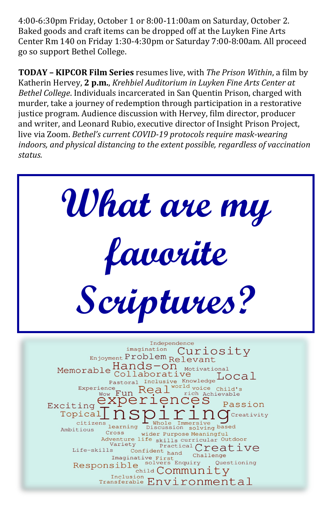4:00-6:30pm Friday, October 1 or 8:00-11:00am on Saturday, October 2. Baked goods and craft items can be dropped off at the Luyken Fine Arts Center Rm 140 on Friday 1:30-4:30pm or Saturday 7:00-8:00am. All proceed go so support Bethel College.

**TODAY – KIPCOR Film Series** resumes live, with *The Prison Within*, a film by Katherin Hervey, **2 p.m.**, *Krehbiel Auditorium in Luyken Fine Arts Center at Bethel College*. Individuals incarcerated in San Quentin Prison, charged with murder, take a journey of redemption through participation in a restorative justice program. Audience discussion with Hervey, film director, producer and writer, and Leonard Rubio, executive director of Insight Prison Project, live via Zoom. *Bethel's current COVID-19 protocols require mask-wearing indoors, and physical distancing to the extent possible, regardless of vaccination status.*